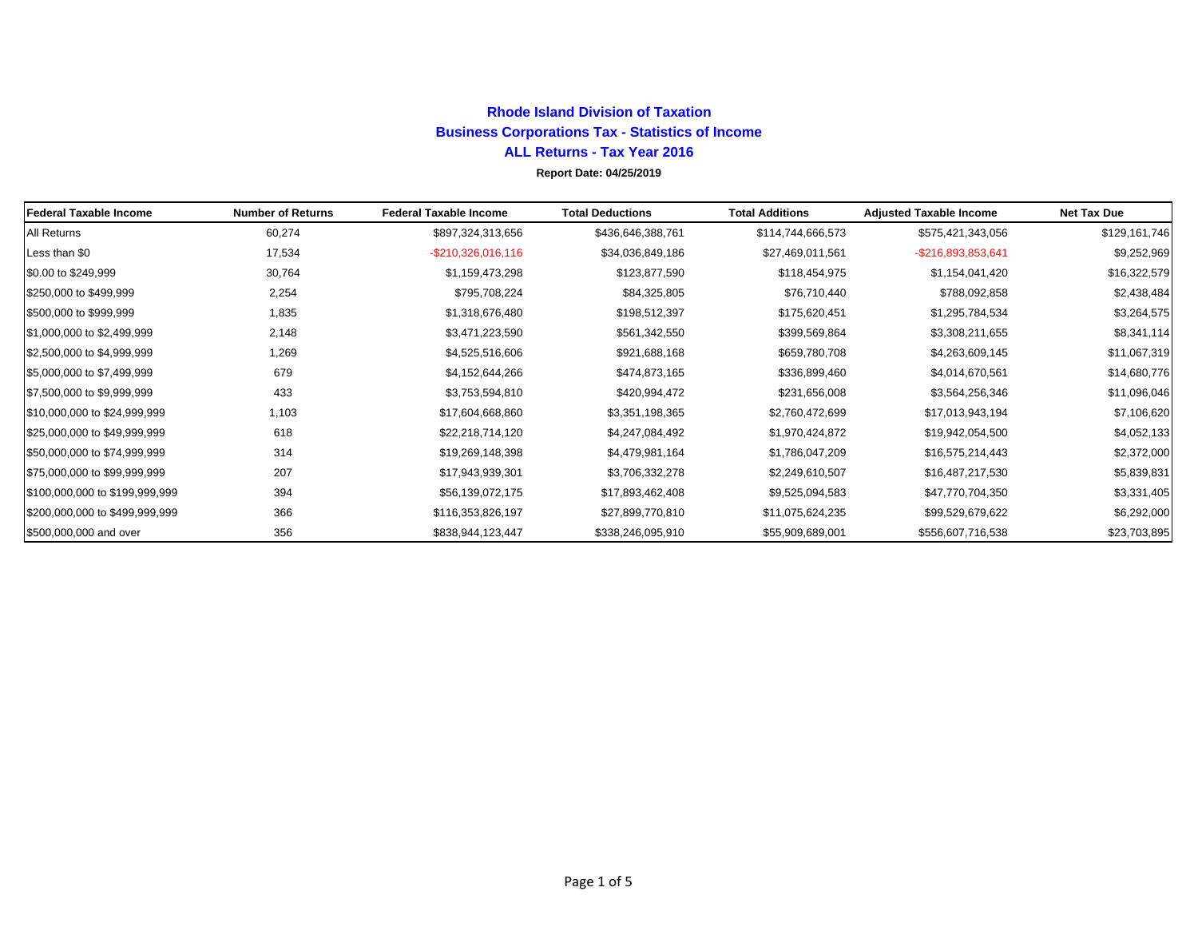# **Rhode Island Division of TaxationBusiness Corporations Tax - Statistics of Income ALL Returns - Tax Year 2016 Report Date: 04/25/2019**

| <b>Federal Taxable Income</b>  | <b>Number of Returns</b> | <b>Federal Taxable Income</b> | <b>Total Deductions</b> | <b>Total Additions</b> | <b>Adjusted Taxable Income</b> | <b>Net Tax Due</b> |
|--------------------------------|--------------------------|-------------------------------|-------------------------|------------------------|--------------------------------|--------------------|
| All Returns                    | 60,274                   | \$897,324,313,656             | \$436,646,388,761       | \$114,744,666,573      | \$575,421,343,056              | \$129,161,746      |
| Less than \$0                  | 17,534                   | $-$210,326,016,116$           | \$34,036,849,186        | \$27,469,011,561       | -\$216,893,853,641             | \$9,252,969        |
| \$0.00 to \$249,999            | 30,764                   | \$1,159,473,298               | \$123,877,590           | \$118,454,975          | \$1,154,041,420                | \$16,322,579       |
| \$250,000 to \$499,999         | 2,254                    | \$795,708,224                 | \$84,325,805            | \$76,710,440           | \$788,092,858                  | \$2,438,484        |
| \$500,000 to \$999,999         | 1,835                    | \$1,318,676,480               | \$198,512,397           | \$175,620,451          | \$1,295,784,534                | \$3,264,575        |
| \$1,000,000 to \$2,499,999     | 2,148                    | \$3,471,223,590               | \$561,342,550           | \$399,569,864          | \$3,308,211,655                | \$8,341,114        |
| \$2,500,000 to \$4,999,999     | 1,269                    | \$4,525,516,606               | \$921,688,168           | \$659,780,708          | \$4,263,609,145                | \$11,067,319       |
| \$5,000,000 to \$7,499,999     | 679                      | \$4,152,644,266               | \$474,873,165           | \$336,899,460          | \$4,014,670,561                | \$14,680,776       |
| \$7,500,000 to \$9,999,999     | 433                      | \$3,753,594,810               | \$420,994,472           | \$231,656,008          | \$3,564,256,346                | \$11,096,046       |
| \$10,000,000 to \$24,999,999   | 1,103                    | \$17,604,668,860              | \$3,351,198,365         | \$2,760,472,699        | \$17,013,943,194               | \$7,106,620        |
| \$25,000,000 to \$49,999,999   | 618                      | \$22,218,714,120              | \$4,247,084,492         | \$1,970,424,872        | \$19,942,054,500               | \$4,052,133        |
| \$50,000,000 to \$74,999,999   | 314                      | \$19,269,148,398              | \$4,479,981,164         | \$1,786,047,209        | \$16,575,214,443               | \$2,372,000        |
| \$75,000,000 to \$99,999,999   | 207                      | \$17,943,939,301              | \$3,706,332,278         | \$2,249,610,507        | \$16,487,217,530               | \$5,839,831        |
| \$100,000,000 to \$199,999,999 | 394                      | \$56,139,072,175              | \$17,893,462,408        | \$9,525,094,583        | \$47,770,704,350               | \$3,331,405        |
| \$200,000,000 to \$499,999,999 | 366                      | \$116,353,826,197             | \$27,899,770,810        | \$11,075,624,235       | \$99,529,679,622               | \$6,292,000        |
| \$500,000,000 and over         | 356                      | \$838,944,123,447             | \$338,246,095,910       | \$55,909,689,001       | \$556,607,716,538              | \$23,703,895       |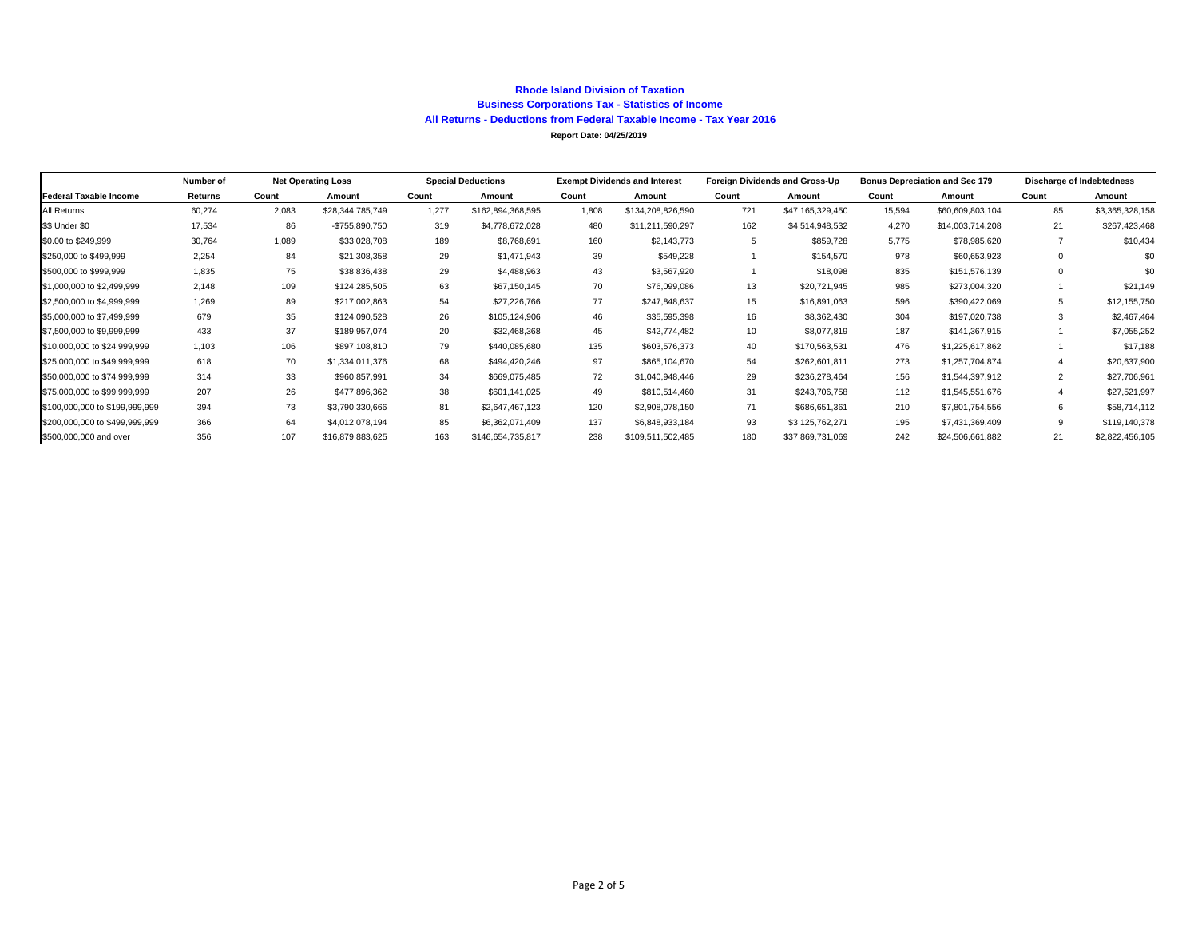#### **Rhode Island Division of TaxationBusiness Corporations Tax - Statistics of Income All Returns - Deductions from Federal Taxable Income - Tax Year 2016 Report Date: 04/25/2019**

|                                | Number of | <b>Net Operating Loss</b> |                  | <b>Special Deductions</b> |                   | <b>Exempt Dividends and Interest</b> |                   | Foreign Dividends and Gross-Up |                  | <b>Bonus Depreciation and Sec 179</b> |                  | <b>Discharge of Indebtedness</b> |                 |
|--------------------------------|-----------|---------------------------|------------------|---------------------------|-------------------|--------------------------------------|-------------------|--------------------------------|------------------|---------------------------------------|------------------|----------------------------------|-----------------|
| <b>Federal Taxable Income</b>  | Returns   | Count                     | Amount           | Count                     | Amount            | Count                                | Amount            | Count                          | Amount           | Count                                 | Amount           | Count                            | Amount          |
| All Returns                    | 60,274    | 2,083                     | \$28,344,785,749 | 1.277                     | \$162,894,368,595 | 1.808                                | \$134,208,826,590 | 721                            | \$47,165,329,450 | 15,594                                | \$60,609,803,104 | 85                               | \$3,365,328,158 |
| \$\$ Under \$0                 | 17,534    | 86                        | -\$755,890,750   | 319                       | \$4,778,672,028   | 480                                  | \$11,211,590,297  | 162                            | \$4,514,948,532  | 4,270                                 | \$14,003,714,208 | 21                               | \$267,423,468   |
| \$0.00 to \$249,999            | 30,764    | 1,089                     | \$33,028,708     | 189                       | \$8,768,691       | 160                                  | \$2,143,773       |                                | \$859,728        | 5.775                                 | \$78,985,620     |                                  | \$10,434        |
| \$250,000 to \$499,999         | 2,254     | 84                        | \$21,308,358     | 29                        | \$1,471,943       | 39                                   | \$549,228         |                                | \$154,570        | 978                                   | \$60,653,923     | $\Omega$                         | \$0             |
| \$500,000 to \$999,999         | 1,835     | 75                        | \$38,836,438     | 29                        | \$4,488,963       | 43                                   | \$3,567,920       |                                | \$18,098         | 835                                   | \$151,576,139    | $\mathbf 0$                      | \$0             |
| \$1,000,000 to \$2,499,999     | 2,148     | 109                       | \$124,285,505    | 63                        | \$67,150,145      | 70                                   | \$76,099,086      | 13                             | \$20,721,945     | 985                                   | \$273,004,320    |                                  | \$21,149        |
| \$2,500,000 to \$4,999,999     | 1,269     | 89                        | \$217,002,863    | 54                        | \$27,226,766      | 77                                   | \$247,848,637     | 15                             | \$16,891,063     | 596                                   | \$390,422,069    | 5                                | \$12,155,750    |
| \$5,000,000 to \$7,499,999     | 679       | 35                        | \$124,090,528    | 26                        | \$105,124,906     | 46                                   | \$35,595,398      | 16                             | \$8,362,430      | 304                                   | \$197,020,738    | 3                                | \$2,467,464     |
| \$7,500,000 to \$9,999,999     | 433       | 37                        | \$189,957,074    | 20                        | \$32,468,368      | 45                                   | \$42,774,482      | 10                             | \$8,077,819      | 187                                   | \$141,367,915    |                                  | \$7,055,252     |
| \$10,000,000 to \$24,999,999   | 1,103     | 106                       | \$897,108,810    | 79                        | \$440,085,680     | 135                                  | \$603,576,373     | 40                             | \$170,563,531    | 476                                   | \$1,225,617,862  |                                  | \$17,188        |
| \$25,000,000 to \$49,999,999   | 618       | 70                        | \$1,334,011,376  | 68                        | \$494,420,246     | 97                                   | \$865,104,670     | 54                             | \$262,601,811    | 273                                   | \$1,257,704,874  | $\overline{4}$                   | \$20,637,900    |
| \$50,000,000 to \$74,999,999   | 314       | 33                        | \$960,857,991    | 34                        | \$669,075,485     | 72                                   | \$1,040,948,446   | 29                             | \$236,278,464    | 156                                   | \$1,544,397,912  | 2                                | \$27,706,961    |
| \$75,000,000 to \$99,999,999   | 207       | 26                        | \$477,896,362    | 38                        | \$601,141,025     | 49                                   | \$810,514,460     | 31                             | \$243,706,758    | 112                                   | \$1,545,551,676  |                                  | \$27,521,997    |
| \$100,000,000 to \$199,999,999 | 394       | 73                        | \$3,790,330,666  | 81                        | \$2,647,467,123   | 120                                  | \$2,908,078,150   | 71                             | \$686,651,361    | 210                                   | \$7,801,754,556  | 6                                | \$58,714,112    |
| \$200,000,000 to \$499,999,999 | 366       | 64                        | \$4,012,078,194  | 85                        | \$6,362,071,409   | 137                                  | \$6,848,933,184   | 93                             | \$3,125,762,271  | 195                                   | \$7,431,369,409  | 9                                | \$119,140,378   |
| \$500,000,000 and over         | 356       | 107                       | \$16,879,883,625 | 163                       | \$146,654,735,817 | 238                                  | \$109,511,502,485 | 180                            | \$37,869,731,069 | 242                                   | \$24,506,661,882 | 21                               | \$2,822,456,105 |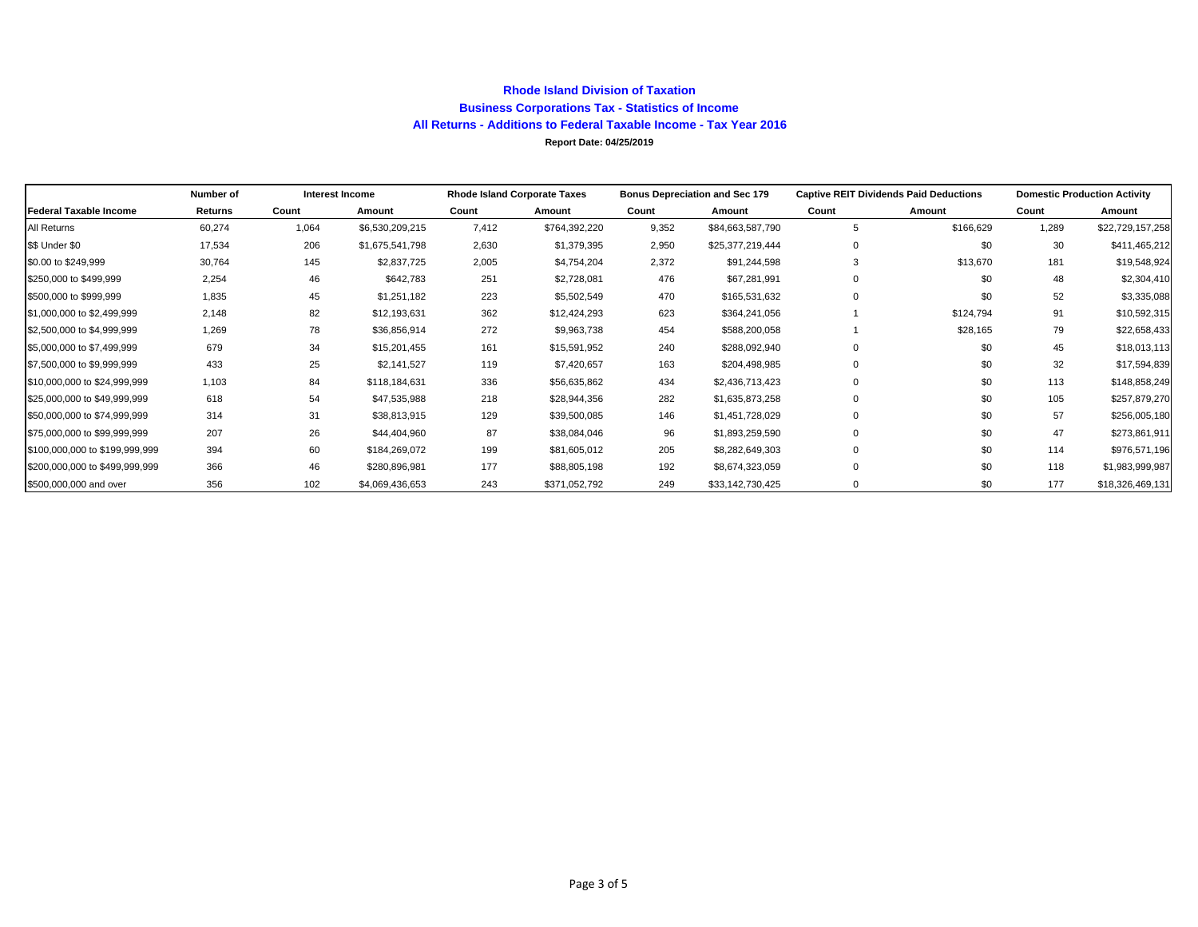### **Rhode Island Division of Taxation Business Corporations Tax - Statistics of Income All Returns - Additions to Federal Taxable Income - Tax Year 2016 Report Date: 04/25/2019**

|                                | Number of |       | Interest Income |       | <b>Rhode Island Corporate Taxes</b> |       | <b>Bonus Depreciation and Sec 179</b> |             | <b>Captive REIT Dividends Paid Deductions</b> | <b>Domestic Production Activity</b> |                  |
|--------------------------------|-----------|-------|-----------------|-------|-------------------------------------|-------|---------------------------------------|-------------|-----------------------------------------------|-------------------------------------|------------------|
| Federal Taxable Income         | Returns   | Count | Amount          | Count | Amount                              | Count | Amount                                | Count       | Amount                                        | Count                               | Amount           |
| All Returns                    | 60,274    | 1,064 | \$6,530,209,215 | 7,412 | \$764,392,220                       | 9,352 | \$84,663,587,790                      | 5           | \$166,629                                     | 1,289                               | \$22,729,157,258 |
| \$\$ Under \$0                 | 17,534    | 206   | \$1,675,541,798 | 2,630 | \$1,379,395                         | 2,950 | \$25,377,219,444                      | 0           | \$0                                           | 30                                  | \$411,465,212    |
| \$0.00 to \$249,999            | 30,764    | 145   | \$2,837,725     | 2,005 | \$4,754,204                         | 2,372 | \$91,244,598                          | 3           | \$13,670                                      | 181                                 | \$19,548,924     |
| \$250,000 to \$499,999         | 2,254     | 46    | \$642,783       | 251   | \$2,728,081                         | 476   | \$67,281,991                          | $\Omega$    | \$0                                           | 48                                  | \$2,304,410      |
| \$500,000 to \$999,999         | 1,835     | 45    | \$1,251,182     | 223   | \$5,502,549                         | 470   | \$165,531,632                         | $\Omega$    | \$0                                           | 52                                  | \$3,335,088      |
| \$1,000,000 to \$2,499,999     | 2,148     | 82    | \$12,193,631    | 362   | \$12,424,293                        | 623   | \$364,241,056                         |             | \$124,794                                     | 91                                  | \$10,592,315     |
| \$2,500,000 to \$4,999,999     | 1,269     | 78    | \$36,856,914    | 272   | \$9,963,738                         | 454   | \$588,200,058                         |             | \$28,165                                      | 79                                  | \$22,658,433     |
| \$5,000,000 to \$7,499,999     | 679       | 34    | \$15,201,455    | 161   | \$15,591,952                        | 240   | \$288,092,940                         | $\mathbf 0$ | \$0                                           | 45                                  | \$18,013,113     |
| \$7,500,000 to \$9,999,999     | 433       | 25    | \$2,141,527     | 119   | \$7,420,657                         | 163   | \$204,498,985                         | 0           | \$0                                           | 32                                  | \$17,594,839     |
| \$10,000,000 to \$24,999,999   | 1,103     | 84    | \$118,184,631   | 336   | \$56,635,862                        | 434   | \$2,436,713,423                       | $\Omega$    | \$0                                           | 113                                 | \$148,858,249    |
| \$25,000,000 to \$49,999,999   | 618       | 54    | \$47,535,988    | 218   | \$28,944,356                        | 282   | \$1,635,873,258                       | $\Omega$    | \$0                                           | 105                                 | \$257,879,270    |
| \$50,000,000 to \$74,999,999   | 314       | 31    | \$38,813,915    | 129   | \$39,500,085                        | 146   | \$1,451,728,029                       | $\Omega$    | \$0                                           | 57                                  | \$256,005,180    |
| \$75,000,000 to \$99,999,999   | 207       | 26    | \$44,404,960    | 87    | \$38,084,046                        | 96    | \$1,893,259,590                       | $\Omega$    | \$0                                           | 47                                  | \$273,861,911    |
| \$100,000,000 to \$199,999,999 | 394       | 60    | \$184,269,072   | 199   | \$81,605,012                        | 205   | \$8,282,649,303                       | $\Omega$    | \$0                                           | 114                                 | \$976,571,196    |
| \$200,000,000 to \$499,999,999 | 366       | 46    | \$280,896,981   | 177   | \$88,805,198                        | 192   | \$8,674,323,059                       | $\Omega$    | \$0                                           | 118                                 | \$1,983,999,987  |
| \$500,000,000 and over         | 356       | 102   | \$4,069,436,653 | 243   | \$371,052,792                       | 249   | \$33,142,730,425                      | 0           | \$0                                           | 177                                 | \$18,326,469,131 |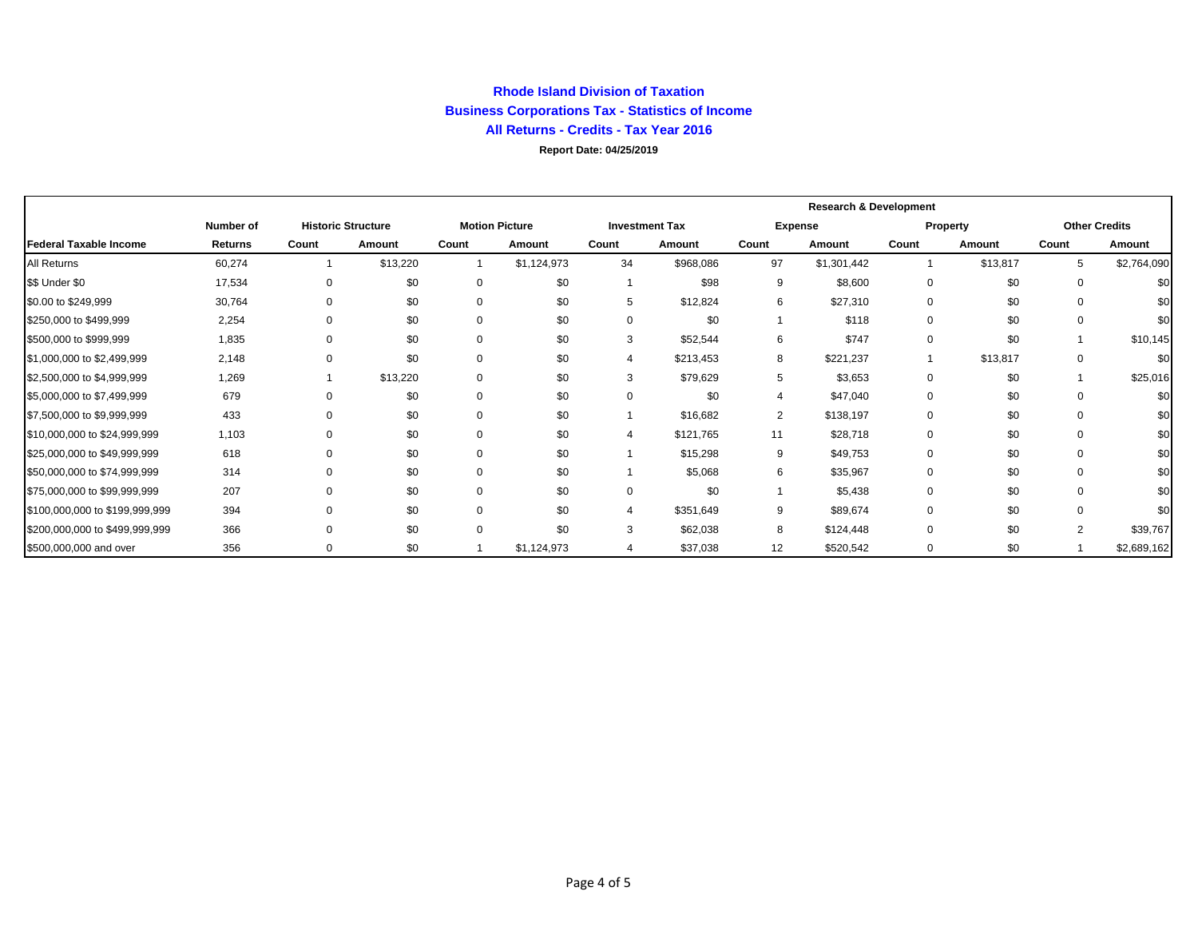### **Rhode Island Division of Taxation Business Corporations Tax - Statistics of Income All Returns - Credits - Tax Year 2016**

**Report Date: 04/25/2019**

|                                |                  |          |                           |             |                       |       |                       | <b>Research &amp; Development</b> |                |          |          |                |                      |
|--------------------------------|------------------|----------|---------------------------|-------------|-----------------------|-------|-----------------------|-----------------------------------|----------------|----------|----------|----------------|----------------------|
|                                | <b>Number of</b> |          | <b>Historic Structure</b> |             | <b>Motion Picture</b> |       | <b>Investment Tax</b> |                                   | <b>Expense</b> |          | Property |                | <b>Other Credits</b> |
| Federal Taxable Income         | <b>Returns</b>   | Count    | Amount                    | Count       | Amount                | Count | Amount                | Count                             | Amount         | Count    | Amount   | Count          | Amount               |
| All Returns                    | 60,274           |          | \$13,220                  |             | \$1,124,973           | 34    | \$968,086             | 97                                | \$1,301,442    |          | \$13,817 | 5              | \$2,764,090          |
| \$\$ Under \$0                 | 17,534           | 0        | \$0                       | $\mathbf 0$ | \$0                   |       | \$98                  | 9                                 | \$8,600        | 0        | \$0      | 0              | \$0                  |
| \$0.00 to \$249,999            | 30,764           | $\Omega$ | \$0                       | $\mathbf 0$ | \$0                   | 5     | \$12,824              | 6                                 | \$27,310       | 0        | \$0      | 0              | \$0                  |
| \$250,000 to \$499,999         | 2,254            | $\Omega$ | \$0                       | $\Omega$    | \$0                   | 0     | \$0                   |                                   | \$118          | $\Omega$ | \$0      | 0              | \$0                  |
| \$500,000 to \$999,999         | 1,835            | $\Omega$ | \$0                       | $\Omega$    | \$0                   | 3     | \$52,544              | 6                                 | \$747          | 0        | \$0      |                | \$10,145             |
| \$1,000,000 to \$2,499,999     | 2,148            | $\Omega$ | \$0                       | $\mathbf 0$ | \$0                   | 4     | \$213,453             | 8                                 | \$221,237      |          | \$13,817 | 0              | \$0                  |
| \$2,500,000 to \$4,999,999     | 1,269            |          | \$13,220                  | $\mathbf 0$ | \$0                   | 3     | \$79,629              | 5                                 | \$3,653        | 0        | \$0      |                | \$25,016             |
| \$5,000,000 to \$7,499,999     | 679              | $\Omega$ | \$0                       | $\Omega$    | \$0                   | 0     | \$0                   |                                   | \$47,040       | 0        | \$0      | 0              | \$0                  |
| \$7,500,000 to \$9,999,999     | 433              | $\Omega$ | \$0                       | $\Omega$    | \$0                   |       | \$16,682              | $\overline{2}$                    | \$138,197      | 0        | \$0      | 0              | \$0                  |
| \$10,000,000 to \$24,999,999   | 1,103            | $\Omega$ | \$0                       | $\Omega$    | \$0                   | 4     | \$121,765             | 11                                | \$28,718       | 0        | \$0      | 0              | \$0                  |
| \$25,000,000 to \$49,999,999   | 618              | $\Omega$ | \$0                       | $\Omega$    | \$0                   |       | \$15,298              | 9                                 | \$49,753       | 0        | \$0      | $\Omega$       | \$0                  |
| \$50,000,000 to \$74,999,999   | 314              | $\Omega$ | \$0                       | $\Omega$    | \$0                   |       | \$5,068               | 6                                 | \$35,967       | 0        | \$0      | $\Omega$       | \$0                  |
| \$75,000,000 to \$99,999,999   | 207              | $\Omega$ | \$0                       | $\Omega$    | \$0                   | 0     | \$0                   |                                   | \$5,438        | 0        | \$0      | 0              | \$0                  |
| \$100,000,000 to \$199,999,999 | 394              | $\Omega$ | \$0                       | $\Omega$    | \$0                   |       | \$351,649             | 9                                 | \$89,674       | 0        | \$0      | 0              | \$0                  |
| \$200,000,000 to \$499,999,999 | 366              | $\Omega$ | \$0                       | $\Omega$    | \$0                   | 3     | \$62,038              | 8                                 | \$124,448      | $\Omega$ | \$0      | $\overline{2}$ | \$39,767             |
| \$500,000,000 and over         | 356              | $\Omega$ | \$0                       |             | \$1,124,973           | 4     | \$37,038              | 12                                | \$520,542      | 0        | \$0      |                | \$2,689,162          |